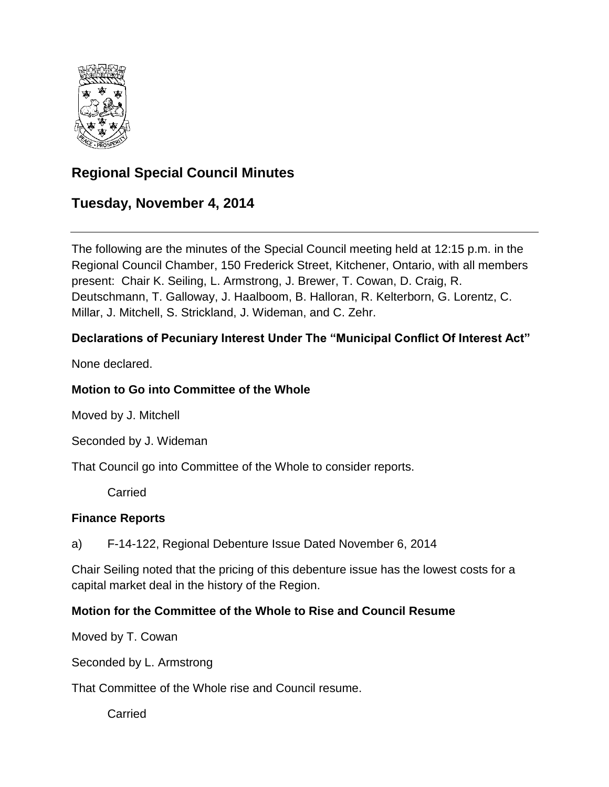

# **Regional Special Council Minutes**

## **Tuesday, November 4, 2014**

The following are the minutes of the Special Council meeting held at 12:15 p.m. in the Regional Council Chamber, 150 Frederick Street, Kitchener, Ontario, with all members present: Chair K. Seiling, L. Armstrong, J. Brewer, T. Cowan, D. Craig, R. Deutschmann, T. Galloway, J. Haalboom, B. Halloran, R. Kelterborn, G. Lorentz, C. Millar, J. Mitchell, S. Strickland, J. Wideman, and C. Zehr.

## **Declarations of Pecuniary Interest Under The "Municipal Conflict Of Interest Act"**

None declared.

## **Motion to Go into Committee of the Whole**

Moved by J. Mitchell

Seconded by J. Wideman

That Council go into Committee of the Whole to consider reports.

Carried

#### **Finance Reports**

a) F-14-122, Regional Debenture Issue Dated November 6, 2014

Chair Seiling noted that the pricing of this debenture issue has the lowest costs for a capital market deal in the history of the Region.

#### **Motion for the Committee of the Whole to Rise and Council Resume**

Moved by T. Cowan

Seconded by L. Armstrong

That Committee of the Whole rise and Council resume.

Carried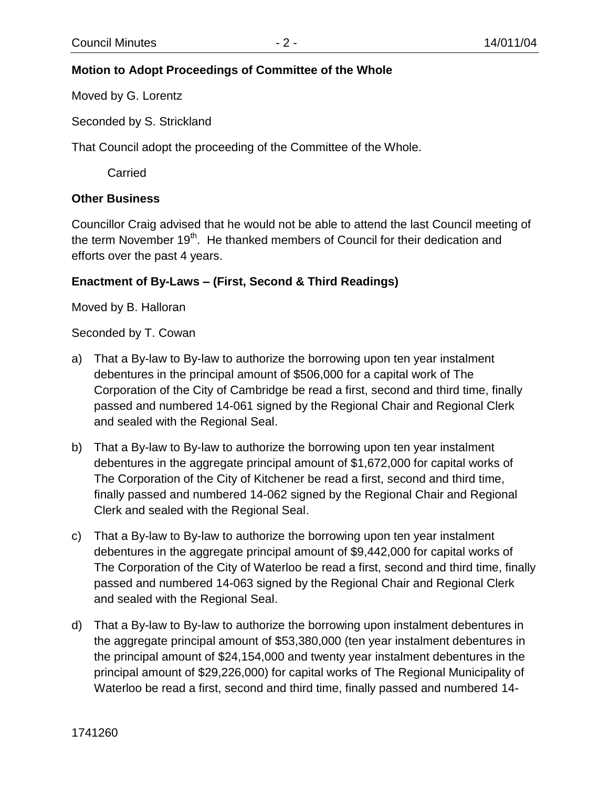#### **Motion to Adopt Proceedings of Committee of the Whole**

Moved by G. Lorentz

Seconded by S. Strickland

That Council adopt the proceeding of the Committee of the Whole.

Carried

#### **Other Business**

Councillor Craig advised that he would not be able to attend the last Council meeting of the term November  $19<sup>th</sup>$ . He thanked members of Council for their dedication and efforts over the past 4 years.

#### **Enactment of By-Laws – (First, Second & Third Readings)**

Moved by B. Halloran

Seconded by T. Cowan

- a) That a By-law to By-law to authorize the borrowing upon ten year instalment debentures in the principal amount of \$506,000 for a capital work of The Corporation of the City of Cambridge be read a first, second and third time, finally passed and numbered 14-061 signed by the Regional Chair and Regional Clerk and sealed with the Regional Seal.
- b) That a By-law to By-law to authorize the borrowing upon ten year instalment debentures in the aggregate principal amount of \$1,672,000 for capital works of The Corporation of the City of Kitchener be read a first, second and third time, finally passed and numbered 14-062 signed by the Regional Chair and Regional Clerk and sealed with the Regional Seal.
- c) That a By-law to By-law to authorize the borrowing upon ten year instalment debentures in the aggregate principal amount of \$9,442,000 for capital works of The Corporation of the City of Waterloo be read a first, second and third time, finally passed and numbered 14-063 signed by the Regional Chair and Regional Clerk and sealed with the Regional Seal.
- d) That a By-law to By-law to authorize the borrowing upon instalment debentures in the aggregate principal amount of \$53,380,000 (ten year instalment debentures in the principal amount of \$24,154,000 and twenty year instalment debentures in the principal amount of \$29,226,000) for capital works of The Regional Municipality of Waterloo be read a first, second and third time, finally passed and numbered 14-